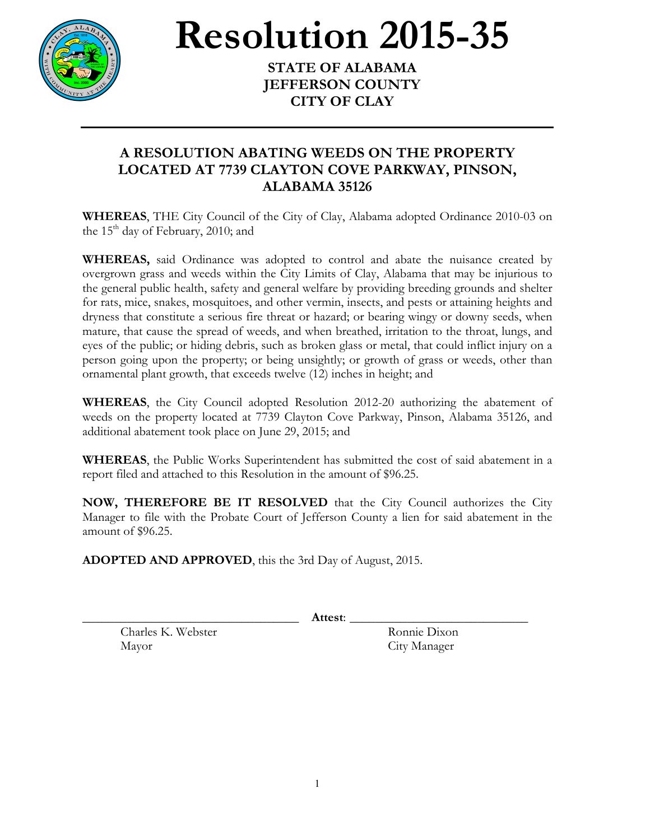

## **Resolution** 2015-35

**JEFFERSON COUNTY CITY OF CLAY**

## **A RESOLUTION ABATING WEEDS ON THE PROPERTY LOCATED AT 7739 CLAYTON COVE PARKWAY, PINSON, ALABAMA 35126**

**WHEREAS**, THE City Council of the City of Clay, Alabama adopted Ordinance 2010-03 on the  $15<sup>th</sup>$  day of February, 2010; and

**WHEREAS,** said Ordinance was adopted to control and abate the nuisance created by overgrown grass and weeds within the City Limits of Clay, Alabama that may be injurious to the general public health, safety and general welfare by providing breeding grounds and shelter for rats, mice, snakes, mosquitoes, and other vermin, insects, and pests or attaining heights and dryness that constitute a serious fire threat or hazard; or bearing wingy or downy seeds, when mature, that cause the spread of weeds, and when breathed, irritation to the throat, lungs, and eyes of the public; or hiding debris, such as broken glass or metal, that could inflict injury on a person going upon the property; or being unsightly; or growth of grass or weeds, other than ornamental plant growth, that exceeds twelve (12) inches in height; and

**WHEREAS**, the City Council adopted Resolution 2012-20 authorizing the abatement of weeds on the property located at 7739 Clayton Cove Parkway, Pinson, Alabama 35126, and additional abatement took place on June 29, 2015; and

**WHEREAS**, the Public Works Superintendent has submitted the cost of said abatement in a report filed and attached to this Resolution in the amount of \$96.25.

**NOW, THEREFORE BE IT RESOLVED** that the City Council authorizes the City Manager to file with the Probate Court of Jefferson County a lien for said abatement in the amount of \$96.25.

**ADOPTED AND APPROVED**, this the 3rd Day of August, 2015.

\_\_\_\_\_\_\_\_\_\_\_\_\_\_\_\_\_\_\_\_\_\_\_\_\_\_\_\_\_\_\_\_\_\_ **Attest**: \_\_\_\_\_\_\_\_\_\_\_\_\_\_\_\_\_\_\_\_\_\_\_\_\_\_\_\_

Charles K. Webster Ronnie Dixon Mayor City Manager